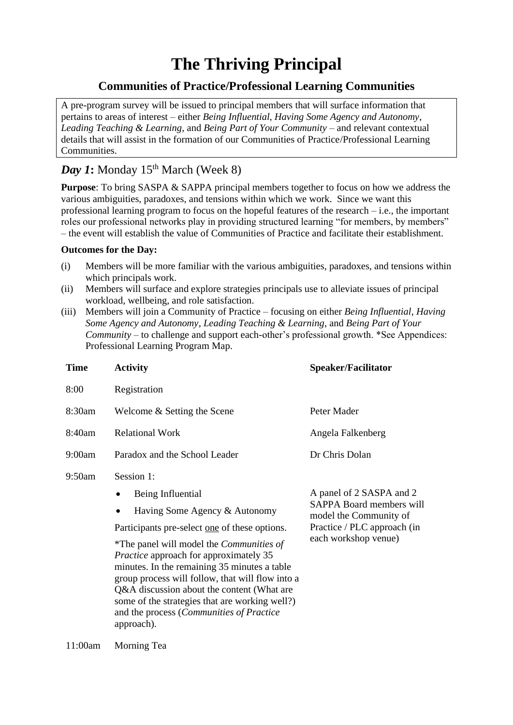# **The Thriving Principal**

## **Communities of Practice/Professional Learning Communities**

A pre-program survey will be issued to principal members that will surface information that pertains to areas of interest – either *Being Influential*, *Having Some Agency and Autonomy*, *Leading Teaching & Learning*, and *Being Part of Your Community* – and relevant contextual details that will assist in the formation of our Communities of Practice/Professional Learning Communities.

## *Day 1*: Monday 15<sup>th</sup> March (Week 8)

**Purpose**: To bring SASPA & SAPPA principal members together to focus on how we address the various ambiguities, paradoxes, and tensions within which we work. Since we want this professional learning program to focus on the hopeful features of the research – i.e., the important roles our professional networks play in providing structured learning "for members, by members" – the event will establish the value of Communities of Practice and facilitate their establishment.

#### **Outcomes for the Day:**

- (i) Members will be more familiar with the various ambiguities, paradoxes, and tensions within which principals work.
- (ii) Members will surface and explore strategies principals use to alleviate issues of principal workload, wellbeing, and role satisfaction.
- (iii) Members will join a Community of Practice focusing on either *Being Influential*, *Having Some Agency and Autonomy*, *Leading Teaching & Learning*, and *Being Part of Your Community* – to challenge and support each-other's professional growth. \*See Appendices: Professional Learning Program Map.

| <b>Time</b> | <b>Activity</b>                                                                                                                                                                                                                                                                                                                                                                                                                                                                            | <b>Speaker/Facilitator</b>                                                                                                                   |
|-------------|--------------------------------------------------------------------------------------------------------------------------------------------------------------------------------------------------------------------------------------------------------------------------------------------------------------------------------------------------------------------------------------------------------------------------------------------------------------------------------------------|----------------------------------------------------------------------------------------------------------------------------------------------|
| 8:00        | Registration                                                                                                                                                                                                                                                                                                                                                                                                                                                                               |                                                                                                                                              |
| 8:30am      | Welcome & Setting the Scene                                                                                                                                                                                                                                                                                                                                                                                                                                                                | Peter Mader                                                                                                                                  |
| 8:40am      | <b>Relational Work</b>                                                                                                                                                                                                                                                                                                                                                                                                                                                                     | Angela Falkenberg                                                                                                                            |
| 9:00am      | Paradox and the School Leader                                                                                                                                                                                                                                                                                                                                                                                                                                                              | Dr Chris Dolan                                                                                                                               |
| 9:50am      | Session 1:<br>Being Influential<br>Having Some Agency & Autonomy<br>Participants pre-select <u>one</u> of these options.<br><i>*The panel will model the Communities of</i><br><i>Practice</i> approach for approximately 35<br>minutes. In the remaining 35 minutes a table<br>group process will follow, that will flow into a<br>Q&A discussion about the content (What are<br>some of the strategies that are working well?)<br>and the process (Communities of Practice<br>approach). | A panel of 2 SASPA and 2<br><b>SAPPA Board members will</b><br>model the Community of<br>Practice / PLC approach (in<br>each workshop venue) |

11:00am Morning Tea